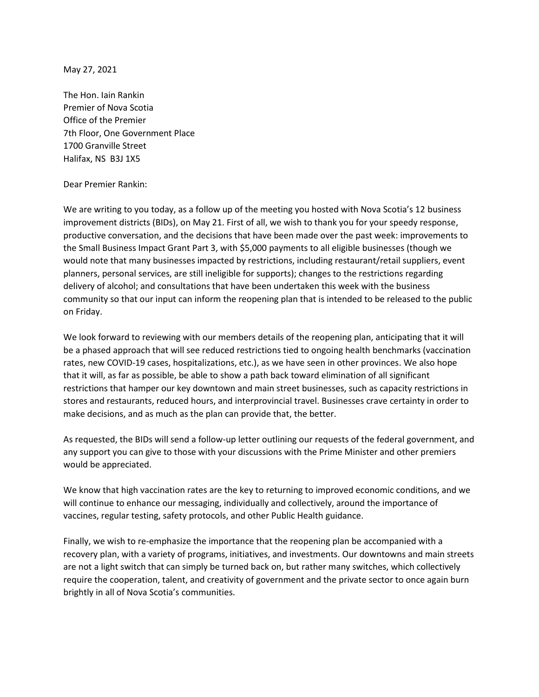May 27, 2021

The Hon. Iain Rankin Premier of Nova Scotia Office of the Premier 7th Floor, One Government Place 1700 Granville Street Halifax, NS B3J 1X5

## Dear Premier Rankin:

We are writing to you today, as a follow up of the meeting you hosted with Nova Scotia's 12 business improvement districts (BIDs), on May 21. First of all, we wish to thank you for your speedy response, productive conversation, and the decisions that have been made over the past week: improvements to the Small Business Impact Grant Part 3, with \$5,000 payments to all eligible businesses (though we would note that many businesses impacted by restrictions, including restaurant/retail suppliers, event planners, personal services, are still ineligible for supports); changes to the restrictions regarding delivery of alcohol; and consultations that have been undertaken this week with the business community so that our input can inform the reopening plan that is intended to be released to the public on Friday.

We look forward to reviewing with our members details of the reopening plan, anticipating that it will be a phased approach that will see reduced restrictions tied to ongoing health benchmarks (vaccination rates, new COVID-19 cases, hospitalizations, etc.), as we have seen in other provinces. We also hope that it will, as far as possible, be able to show a path back toward elimination of all significant restrictions that hamper our key downtown and main street businesses, such as capacity restrictions in stores and restaurants, reduced hours, and interprovincial travel. Businesses crave certainty in order to make decisions, and as much as the plan can provide that, the better.

As requested, the BIDs will send a follow-up letter outlining our requests of the federal government, and any support you can give to those with your discussions with the Prime Minister and other premiers would be appreciated.

We know that high vaccination rates are the key to returning to improved economic conditions, and we will continue to enhance our messaging, individually and collectively, around the importance of vaccines, regular testing, safety protocols, and other Public Health guidance.

Finally, we wish to re-emphasize the importance that the reopening plan be accompanied with a recovery plan, with a variety of programs, initiatives, and investments. Our downtowns and main streets are not a light switch that can simply be turned back on, but rather many switches, which collectively require the cooperation, talent, and creativity of government and the private sector to once again burn brightly in all of Nova Scotia's communities.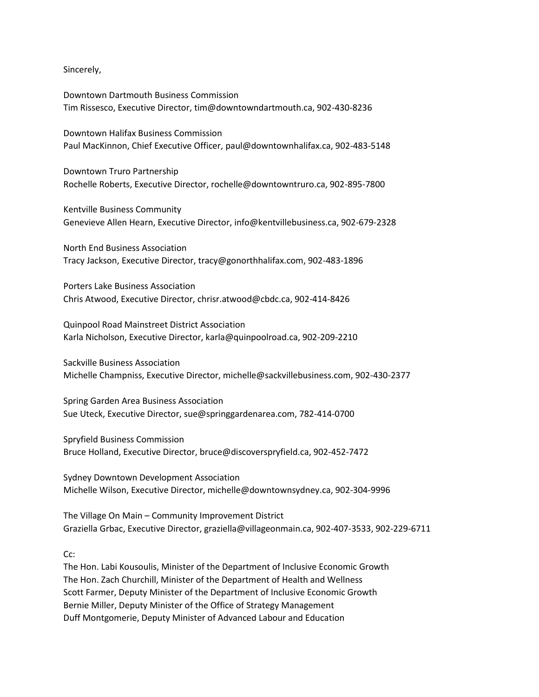Sincerely,

Downtown Dartmouth Business Commission Tim Rissesco, Executive Director, tim@downtowndartmouth.ca, 902-430-8236

Downtown Halifax Business Commission Paul MacKinnon, Chief Executive Officer, paul@downtownhalifax.ca, 902-483-5148

Downtown Truro Partnership Rochelle Roberts, Executive Director, rochelle@downtowntruro.ca, 902-895-7800

Kentville Business Community Genevieve Allen Hearn, Executive Director, info@kentvillebusiness.ca, 902-679-2328

North End Business Association Tracy Jackson, Executive Director, tracy@gonorthhalifax.com, 902-483-1896

Porters Lake Business Association Chris Atwood, Executive Director, chrisr.atwood@cbdc.ca, 902-414-8426

Quinpool Road Mainstreet District Association Karla Nicholson, Executive Director, karla@quinpoolroad.ca, 902-209-2210

Sackville Business Association Michelle Champniss, Executive Director, michelle@sackvillebusiness.com, 902-430-2377

Spring Garden Area Business Association Sue Uteck, Executive Director, sue@springgardenarea.com, 782-414-0700

Spryfield Business Commission Bruce Holland, Executive Director, bruce@discoverspryfield.ca, 902-452-7472

Sydney Downtown Development Association Michelle Wilson, Executive Director, michelle@downtownsydney.ca, 902-304-9996

The Village On Main – Community Improvement District Graziella Grbac, Executive Director, graziella@villageonmain.ca, 902-407-3533, 902-229-6711

C<sub>c</sub>:

The Hon. Labi Kousoulis, Minister of the Department of Inclusive Economic Growth The Hon. Zach Churchill, Minister of the Department of Health and Wellness Scott Farmer, Deputy Minister of the Department of Inclusive Economic Growth Bernie Miller, Deputy Minister of the Office of Strategy Management Duff Montgomerie, Deputy Minister of Advanced Labour and Education